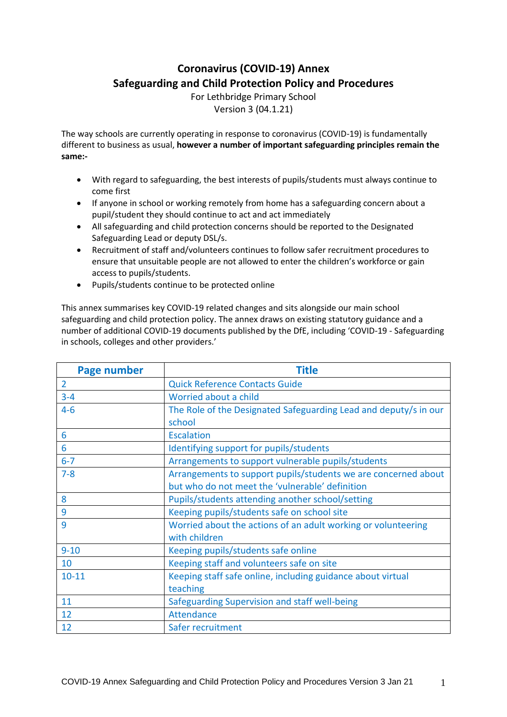# **Coronavirus (COVID-19) Annex Safeguarding and Child Protection Policy and Procedures**

For Lethbridge Primary School Version 3 (04.1.21)

The way schools are currently operating in response to coronavirus (COVID-19) is fundamentally different to business as usual, **however a number of important safeguarding principles remain the same:-**

- With regard to safeguarding, the best interests of pupils/students must always continue to come first
- If anyone in school or working remotely from home has a safeguarding concern about a pupil/student they should continue to act and act immediately
- All safeguarding and child protection concerns should be reported to the Designated Safeguarding Lead or deputy DSL/s.
- Recruitment of staff and/volunteers continues to follow safer recruitment procedures to ensure that unsuitable people are not allowed to enter the children's workforce or gain access to pupils/students.
- Pupils/students continue to be protected online

This annex summarises key COVID-19 related changes and sits alongside our main school safeguarding and child protection policy. The annex draws on existing statutory guidance and a number of additional COVID-19 documents published by the DfE, including 'COVID-19 - Safeguarding in schools, colleges and other providers.'

| <b>Page number</b> | <b>Title</b>                                                     |
|--------------------|------------------------------------------------------------------|
| $\overline{2}$     | <b>Quick Reference Contacts Guide</b>                            |
| $3 - 4$            | Worried about a child                                            |
| $4 - 6$            | The Role of the Designated Safeguarding Lead and deputy/s in our |
|                    | school                                                           |
| 6                  | <b>Escalation</b>                                                |
| 6                  | Identifying support for pupils/students                          |
| $6 - 7$            | Arrangements to support vulnerable pupils/students               |
| $7 - 8$            | Arrangements to support pupils/students we are concerned about   |
|                    | but who do not meet the 'vulnerable' definition                  |
| 8                  | Pupils/students attending another school/setting                 |
| 9                  | Keeping pupils/students safe on school site                      |
| 9                  | Worried about the actions of an adult working or volunteering    |
|                    | with children                                                    |
| $9 - 10$           | Keeping pupils/students safe online                              |
| 10                 | Keeping staff and volunteers safe on site                        |
| $10 - 11$          | Keeping staff safe online, including guidance about virtual      |
|                    | teaching                                                         |
| 11                 | Safeguarding Supervision and staff well-being                    |
| 12                 | Attendance                                                       |
| 12                 | Safer recruitment                                                |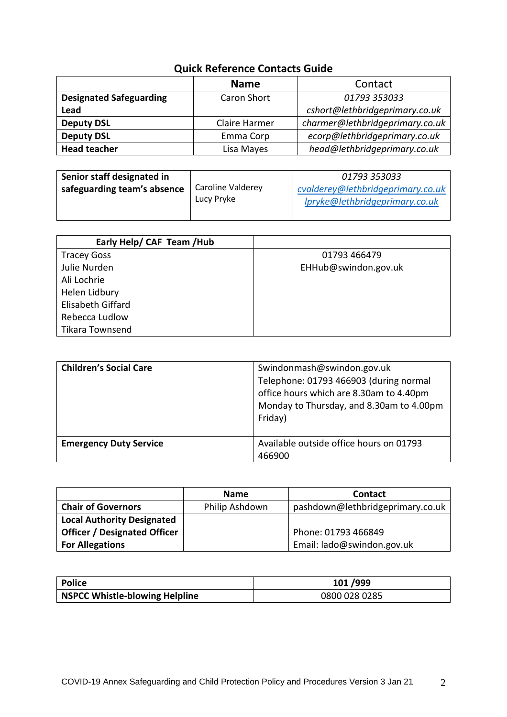# **Quick Reference Contacts Guide**

|                                | <b>Name</b>          | Contact                         |
|--------------------------------|----------------------|---------------------------------|
| <b>Designated Safeguarding</b> | Caron Short          | 01793 353033                    |
| Lead                           |                      | cshort@lethbridgeprimary.co.uk  |
| <b>Deputy DSL</b>              | <b>Claire Harmer</b> | charmer@lethbridgeprimary.co.uk |
| <b>Deputy DSL</b>              | Emma Corp            | ecorp@lethbridgeprimary.co.uk   |
| <b>Head teacher</b>            | Lisa Mayes           | head@lethbridgeprimary.co.uk    |

| Senior staff designated in  |                   | 01793 353033                      |
|-----------------------------|-------------------|-----------------------------------|
| safeguarding team's absence | Caroline Valderey | cvalderey@lethbridgeprimary.co.uk |
|                             | Lucy Pryke        | lpryke@lethbridgeprimary.co.uk    |
|                             |                   |                                   |

| Early Help/ CAF Team /Hub |                      |
|---------------------------|----------------------|
| <b>Tracey Goss</b>        | 01793 466479         |
| Julie Nurden              | EHHub@swindon.gov.uk |
| Ali Lochrie               |                      |
| Helen Lidbury             |                      |
| <b>Elisabeth Giffard</b>  |                      |
| Rebecca Ludlow            |                      |
| Tikara Townsend           |                      |

| <b>Children's Social Care</b> | Swindonmash@swindon.gov.uk<br>Telephone: 01793 466903 (during normal<br>office hours which are 8.30am to 4.40pm<br>Monday to Thursday, and 8.30am to 4.00pm<br>Friday) |
|-------------------------------|------------------------------------------------------------------------------------------------------------------------------------------------------------------------|
| <b>Emergency Duty Service</b> | Available outside office hours on 01793<br>466900                                                                                                                      |

|                                     | <b>Name</b>    | <b>Contact</b>                   |
|-------------------------------------|----------------|----------------------------------|
| <b>Chair of Governors</b>           | Philip Ashdown | pashdown@lethbridgeprimary.co.uk |
| <b>Local Authority Designated</b>   |                |                                  |
| <b>Officer / Designated Officer</b> |                | Phone: 01793 466849              |
| <b>For Allegations</b>              |                | Email: lado@swindon.gov.uk       |

| Police                         | 101/999       |
|--------------------------------|---------------|
| NSPCC Whistle-blowing Helpline | 0800 028 0285 |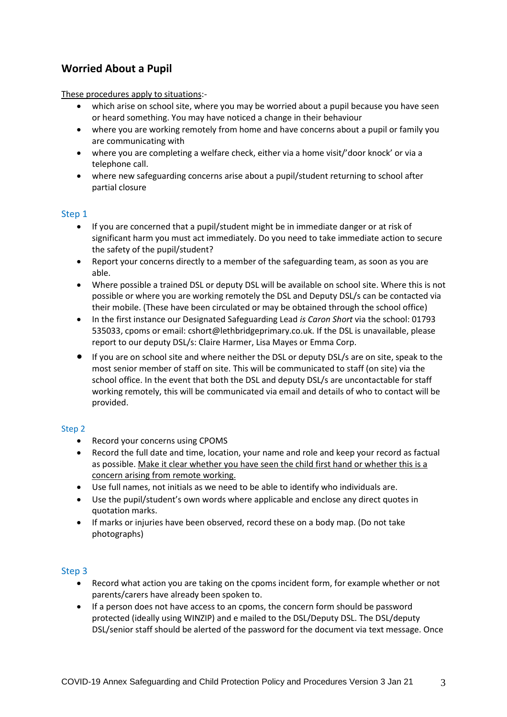# **Worried About a Pupil**

These procedures apply to situations:-

- which arise on school site, where you may be worried about a pupil because you have seen or heard something. You may have noticed a change in their behaviour
- where you are working remotely from home and have concerns about a pupil or family you are communicating with
- where you are completing a welfare check, either via a home visit/'door knock' or via a telephone call.
- where new safeguarding concerns arise about a pupil/student returning to school after partial closure

#### Step 1

- If you are concerned that a pupil/student might be in immediate danger or at risk of significant harm you must act immediately. Do you need to take immediate action to secure the safety of the pupil/student?
- Report your concerns directly to a member of the safeguarding team, as soon as you are able.
- Where possible a trained DSL or deputy DSL will be available on school site. Where this is not possible or where you are working remotely the DSL and Deputy DSL/s can be contacted via their mobile. (These have been circulated or may be obtained through the school office)
- In the first instance our Designated Safeguarding Lead *is Caron Short* via the school: 01793 535033, cpoms or email: cshort@lethbridgeprimary.co.uk. If the DSL is unavailable, please report to our deputy DSL/s: Claire Harmer, Lisa Mayes or Emma Corp.
- If you are on school site and where neither the DSL or deputy DSL/s are on site, speak to the most senior member of staff on site. This will be communicated to staff (on site) via the school office. In the event that both the DSL and deputy DSL/s are uncontactable for staff working remotely, this will be communicated via email and details of who to contact will be provided.

#### Step 2

- Record your concerns using CPOMS
- Record the full date and time, location, your name and role and keep your record as factual as possible. Make it clear whether you have seen the child first hand or whether this is a concern arising from remote working.
- Use full names, not initials as we need to be able to identify who individuals are.
- Use the pupil/student's own words where applicable and enclose any direct quotes in quotation marks.
- If marks or injuries have been observed, record these on a body map. (Do not take photographs)

#### Step 3

- Record what action you are taking on the cpoms incident form, for example whether or not parents/carers have already been spoken to.
- If a person does not have access to an cpoms, the concern form should be password protected (ideally using WINZIP) and e mailed to the DSL/Deputy DSL. The DSL/deputy DSL/senior staff should be alerted of the password for the document via text message. Once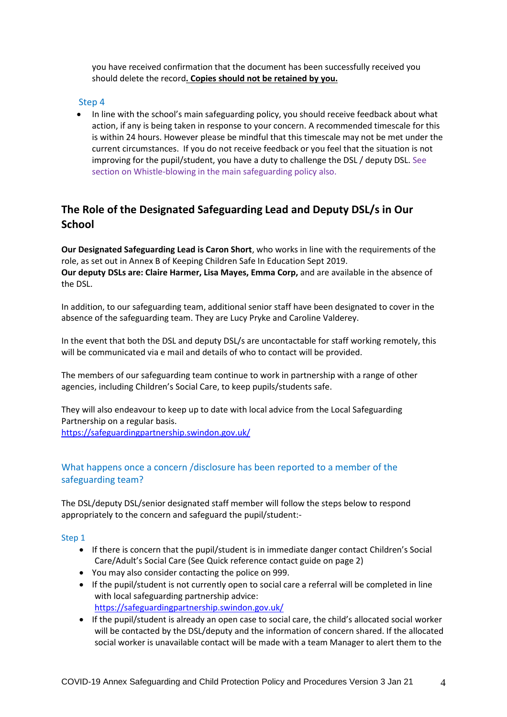you have received confirmation that the document has been successfully received you should delete the record**. Copies should not be retained by you.**

#### Step 4

 In line with the school's main safeguarding policy, you should receive feedback about what action, if any is being taken in response to your concern. A recommended timescale for this is within 24 hours. However please be mindful that this timescale may not be met under the current circumstances. If you do not receive feedback or you feel that the situation is not improving for the pupil/student, you have a duty to challenge the DSL / deputy DSL. See section on Whistle-blowing in the main safeguarding policy also.

# **The Role of the Designated Safeguarding Lead and Deputy DSL/s in Our School**

**Our Designated Safeguarding Lead is Caron Short**, who works in line with the requirements of the role, as set out in Annex B of Keeping Children Safe In Education Sept 2019. **Our deputy DSLs are: Claire Harmer, Lisa Mayes, Emma Corp,** and are available in the absence of the DSL.

In addition, to our safeguarding team, additional senior staff have been designated to cover in the absence of the safeguarding team. They are Lucy Pryke and Caroline Valderey.

In the event that both the DSL and deputy DSL/s are uncontactable for staff working remotely, this will be communicated via e mail and details of who to contact will be provided.

The members of our safeguarding team continue to work in partnership with a range of other agencies, including Children's Social Care, to keep pupils/students safe.

They will also endeavour to keep up to date with local advice from the Local Safeguarding Partnership on a regular basis.

<https://safeguardingpartnership.swindon.gov.uk/>

### What happens once a concern /disclosure has been reported to a member of the safeguarding team?

The DSL/deputy DSL/senior designated staff member will follow the steps below to respond appropriately to the concern and safeguard the pupil/student:-

#### Step 1

- If there is concern that the pupil/student is in immediate danger contact Children's Social Care/Adult's Social Care (See Quick reference contact guide on page 2)
- You may also consider contacting the police on 999.
- If the pupil/student is not currently open to social care a referral will be completed in line with local safeguarding partnership advice: <https://safeguardingpartnership.swindon.gov.uk/>
- If the pupil/student is already an open case to social care, the child's allocated social worker will be contacted by the DSL/deputy and the information of concern shared. If the allocated social worker is unavailable contact will be made with a team Manager to alert them to the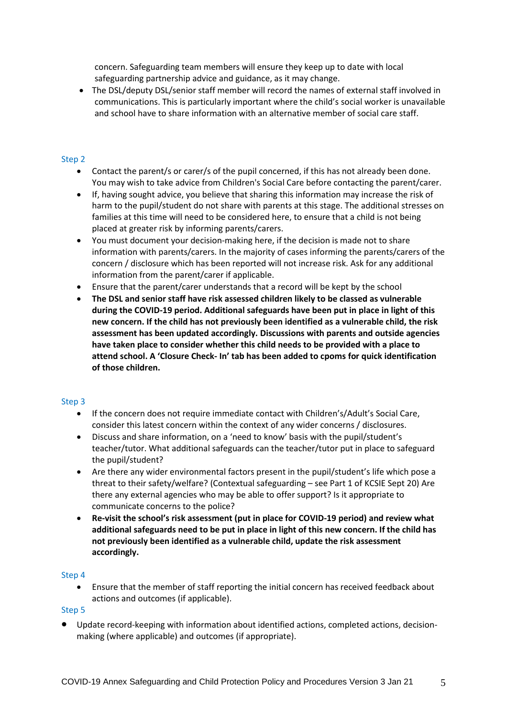concern. Safeguarding team members will ensure they keep up to date with local safeguarding partnership advice and guidance, as it may change.

• The DSL/deputy DSL/senior staff member will record the names of external staff involved in communications. This is particularly important where the child's social worker is unavailable and school have to share information with an alternative member of social care staff.

#### Step 2

- Contact the parent/s or carer/s of the pupil concerned, if this has not already been done. You may wish to take advice from Children's Social Care before contacting the parent/carer.
- If, having sought advice, you believe that sharing this information may increase the risk of harm to the pupil/student do not share with parents at this stage. The additional stresses on families at this time will need to be considered here, to ensure that a child is not being placed at greater risk by informing parents/carers.
- You must document your decision-making here, if the decision is made not to share information with parents/carers. In the majority of cases informing the parents/carers of the concern / disclosure which has been reported will not increase risk. Ask for any additional information from the parent/carer if applicable.
- Ensure that the parent/carer understands that a record will be kept by the school
- **The DSL and senior staff have risk assessed children likely to be classed as vulnerable during the COVID-19 period. Additional safeguards have been put in place in light of this new concern. If the child has not previously been identified as a vulnerable child, the risk assessment has been updated accordingly. Discussions with parents and outside agencies have taken place to consider whether this child needs to be provided with a place to attend school. A 'Closure Check- In' tab has been added to cpoms for quick identification of those children.**

#### Step 3

- If the concern does not require immediate contact with Children's/Adult's Social Care, consider this latest concern within the context of any wider concerns / disclosures.
- Discuss and share information, on a 'need to know' basis with the pupil/student's teacher/tutor. What additional safeguards can the teacher/tutor put in place to safeguard the pupil/student?
- Are there any wider environmental factors present in the pupil/student's life which pose a threat to their safety/welfare? (Contextual safeguarding – see Part 1 of KCSIE Sept 20) Are there any external agencies who may be able to offer support? Is it appropriate to communicate concerns to the police?
- **Re-visit the school's risk assessment (put in place for COVID-19 period) and review what additional safeguards need to be put in place in light of this new concern. If the child has not previously been identified as a vulnerable child, update the risk assessment accordingly.**

#### Step 4

 Ensure that the member of staff reporting the initial concern has received feedback about actions and outcomes (if applicable).

Step 5

 Update record-keeping with information about identified actions, completed actions, decisionmaking (where applicable) and outcomes (if appropriate).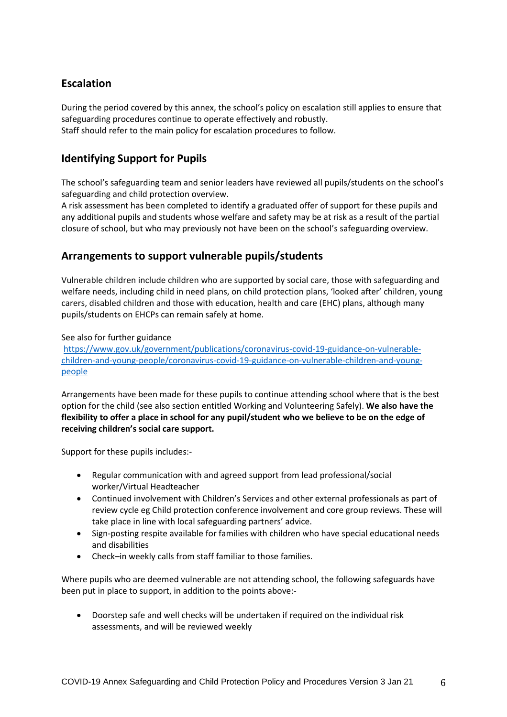# **Escalation**

During the period covered by this annex, the school's policy on escalation still applies to ensure that safeguarding procedures continue to operate effectively and robustly. Staff should refer to the main policy for escalation procedures to follow.

# **Identifying Support for Pupils**

The school's safeguarding team and senior leaders have reviewed all pupils/students on the school's safeguarding and child protection overview.

A risk assessment has been completed to identify a graduated offer of support for these pupils and any additional pupils and students whose welfare and safety may be at risk as a result of the partial closure of school, but who may previously not have been on the school's safeguarding overview.

# **Arrangements to support vulnerable pupils/students**

Vulnerable children include children who are supported by social care, those with safeguarding and welfare needs, including child in need plans, on child protection plans, 'looked after' children, young carers, disabled children and those with [education,](https://www.gov.uk/children-with-special-educational-needs/extra-SEN-help) health and care (EHC) plans, although many pupils/students on EHCPs can remain safely at home.

#### See also for further guidance

[https://www.gov.uk/government/publications/coronavirus-covid-19-guidance-on-vulnerable](https://www.gov.uk/government/publications/coronavirus-covid-19-guidance-on-vulnerable-children-and-young-people/coronavirus-covid-19-guidance-on-vulnerable-children-and-young-people)[children-and-young-people/coronavirus-covid-19-guidance-on-vulnerable-children-and-young](https://www.gov.uk/government/publications/coronavirus-covid-19-guidance-on-vulnerable-children-and-young-people/coronavirus-covid-19-guidance-on-vulnerable-children-and-young-people)[people](https://www.gov.uk/government/publications/coronavirus-covid-19-guidance-on-vulnerable-children-and-young-people/coronavirus-covid-19-guidance-on-vulnerable-children-and-young-people)

Arrangements have been made for these pupils to continue attending school where that is the best option for the child (see also section entitled Working and Volunteering Safely). **We also have the flexibility to offer a place in school for any pupil/student who we believe to be on the edge of receiving children's social care support.**

Support for these pupils includes:-

- Regular communication with and agreed support from lead professional/social worker/Virtual Headteacher
- Continued involvement with Children's Services and other external professionals as part of review cycle eg Child protection conference involvement and core group reviews. These will take place in line with local safeguarding partners' advice.
- Sign-posting respite available for families with children who have special educational needs and disabilities
- Check–in weekly calls from staff familiar to those families.

Where pupils who are deemed vulnerable are not attending school, the following safeguards have been put in place to support, in addition to the points above:-

 Doorstep safe and well checks will be undertaken if required on the individual risk assessments, and will be reviewed weekly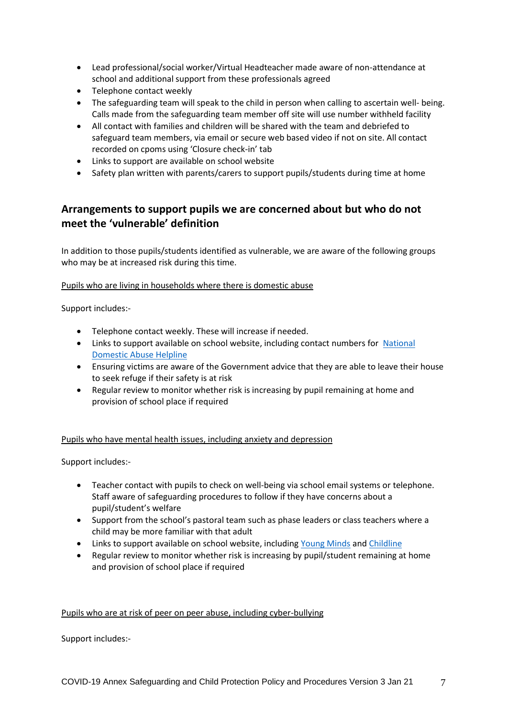- Lead professional/social worker/Virtual Headteacher made aware of non-attendance at school and additional support from these professionals agreed
- Telephone contact weekly
- The safeguarding team will speak to the child in person when calling to ascertain well- being. Calls made from the safeguarding team member off site will use number withheld facility
- All contact with families and children will be shared with the team and debriefed to safeguard team members, via email or secure web based video if not on site. All contact recorded on cpoms using 'Closure check-in' tab
- Links to support are available on school website
- Safety plan written with parents/carers to support pupils/students during time at home

# **Arrangements to support pupils we are concerned about but who do not meet the 'vulnerable' definition**

In addition to those pupils/students identified as vulnerable, we are aware of the following groups who may be at increased risk during this time.

#### Pupils who are living in households where there is domestic abuse

Support includes:-

- Telephone contact weekly. These will increase if needed.
- Links to support available on school website, including contact numbers for [National](https://www.nationaldahelpline.org.uk/)  [Domestic Abuse Helpline](https://www.nationaldahelpline.org.uk/)
- Ensuring victims are aware of the Government advice that they are able to leave their house to seek refuge if their safety is at risk
- Regular review to monitor whether risk is increasing by pupil remaining at home and provision of school place if required

#### Pupils who have mental health issues, including anxiety and depression

Support includes:-

- Teacher contact with pupils to check on well-being via school email systems or telephone. Staff aware of safeguarding procedures to follow if they have concerns about a pupil/student's welfare
- Support from the school's pastoral team such as phase leaders or class teachers where a child may be more familiar with that adult
- Links to support available on school website, including [Young Minds](https://youngminds.org.uk/) and [Childline](https://www.childline.org.uk/)
- Regular review to monitor whether risk is increasing by pupil/student remaining at home and provision of school place if required

#### Pupils who are at risk of peer on peer abuse, including cyber-bullying

Support includes:-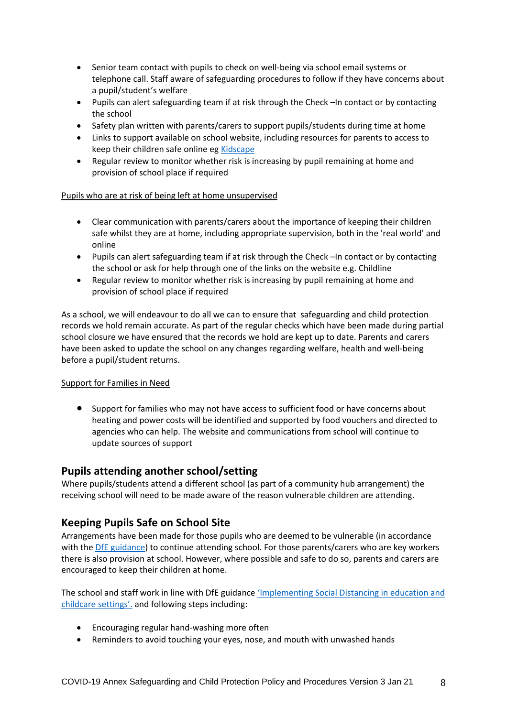- Senior team contact with pupils to check on well-being via school email systems or telephone call. Staff aware of safeguarding procedures to follow if they have concerns about a pupil/student's welfare
- Pupils can alert safeguarding team if at risk through the Check –In contact or by contacting the school
- Safety plan written with parents/carers to support pupils/students during time at home
- Links to support available on school website, including resources for parents to access to keep their children safe online eg [Kidscape](https://www.kidscape.org.uk/advice/advice-for-parents-and-carers/cyberbullying-and-digital-safety/reporting-cyberbullying/)
- Regular review to monitor whether risk is increasing by pupil remaining at home and provision of school place if required

#### Pupils who are at risk of being left at home unsupervised

- Clear communication with parents/carers about the importance of keeping their children safe whilst they are at home, including appropriate supervision, both in the 'real world' and online
- Pupils can alert safeguarding team if at risk through the Check –In contact or by contacting the school or ask for help through one of the links on the website e.g. Childline
- Regular review to monitor whether risk is increasing by pupil remaining at home and provision of school place if required

As a school, we will endeavour to do all we can to ensure that safeguarding and child protection records we hold remain accurate. As part of the regular checks which have been made during partial school closure we have ensured that the records we hold are kept up to date. Parents and carers have been asked to update the school on any changes regarding welfare, health and well-being before a pupil/student returns.

#### Support for Families in Need

 Support for families who may not have access to sufficient food or have concerns about heating and power costs will be identified and supported by food vouchers and directed to agencies who can help. The website and communications from school will continue to update sources of support

### **Pupils attending another school/setting**

Where pupils/students attend a different school (as part of a community hub arrangement) the receiving school will need to be made aware of the reason vulnerable children are attending.

### **Keeping Pupils Safe on School Site**

Arrangements have been made for those pupils who are deemed to be vulnerable (in accordance with the [DfE guidance\)](https://www.gov.uk/government/publications/coronavirus-covid-19-guidance-on-vulnerable-children-and-young-people) to continue attending school. For those parents/carers who are key workers there is also provision at school. However, where possible and safe to do so, parents and carers are encouraged to keep their children at home.

The school and staff work in line with DfE guidance ['Implementing Social Distanc](https://www.gov.uk/government/publications/coronavirus-covid-19-implementing-social-distancing-in-education-and-childcare-settings/coronavirus-covid-19-implementing-social-distancing-in-education-and-childcare-settings)ing in education and [childcare settings'.](https://www.gov.uk/government/publications/coronavirus-covid-19-implementing-social-distancing-in-education-and-childcare-settings/coronavirus-covid-19-implementing-social-distancing-in-education-and-childcare-settings) and following steps including:

- Encouraging regular hand-washing more often
- Reminders to avoid touching your eyes, nose, and mouth with unwashed hands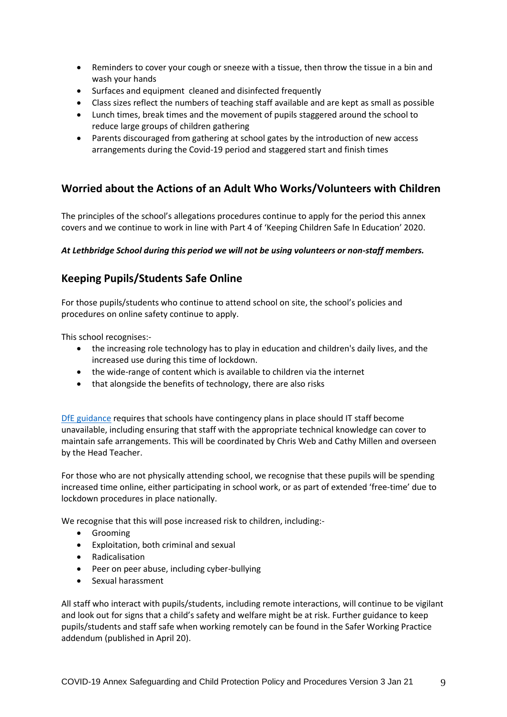- Reminders to cover your cough or sneeze with a tissue, then throw the tissue in a bin and wash your hands
- Surfaces and equipment cleaned and disinfected frequently
- Class sizes reflect the numbers of teaching staff available and are kept as small as possible
- Lunch times, break times and the movement of pupils staggered around the school to reduce large groups of children gathering
- Parents discouraged from gathering at school gates by the introduction of new access arrangements during the Covid-19 period and staggered start and finish times

# **Worried about the Actions of an Adult Who Works/Volunteers with Children**

The principles of the school's allegations procedures continue to apply for the period this annex covers and we continue to work in line with Part 4 of 'Keeping Children Safe In Education' 2020.

#### *At Lethbridge School during this period we will not be using volunteers or non-staff members.*

# **Keeping Pupils/Students Safe Online**

For those pupils/students who continue to attend school on site, the school's policies and procedures on online safety continue to apply.

This school recognises:-

- the increasing role technology has to play in education and children's daily lives, and the increased use during this time of lockdown.
- the wide-range of content which is available to children via the internet
- that alongside the benefits of technology, there are also risks

[DfE guidance](https://www.gov.uk/government/publications/covid-19-safeguarding-in-schools-colleges-and-other-providers) requires that schools have contingency plans in place should IT staff become unavailable, including ensuring that staff with the appropriate technical knowledge can cover to maintain safe arrangements. This will be coordinated by Chris Web and Cathy Millen and overseen by the Head Teacher.

For those who are not physically attending school, we recognise that these pupils will be spending increased time online, either participating in school work, or as part of extended 'free-time' due to lockdown procedures in place nationally.

We recognise that this will pose increased risk to children, including:-

- **•** Grooming
- Exploitation, both criminal and sexual
- Radicalisation
- Peer on peer abuse, including cyber-bullying
- Sexual harassment

All staff who interact with pupils/students, including remote interactions, will continue to be vigilant and look out for signs that a child's safety and welfare might be at risk. Further guidance to keep pupils/students and staff safe when working remotely can be found in the Safer Working Practice addendum (published in April 20).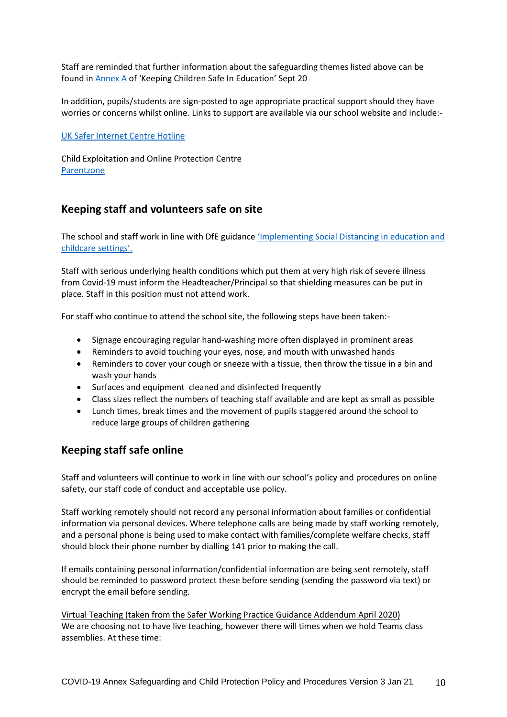Staff are reminded that further information about the safeguarding themes listed above can be found in **Annex A** of 'Keeping Children Safe In Education' Sept 20

In addition, pupils/students are sign-posted to age appropriate practical support should they have worries or concerns whilst online. Links to support are available via our school website and include:-

[UK Safer Internet Centre Hotline](https://www.saferinternet.org.uk/hotline)

Child Exploitation and Online Protection Centre **[Parentzone](https://parentzone.org.uk/home)** 

# **Keeping staff and volunteers safe on site**

The school and staff work in line with DfE guidance 'Implementing Social Distancing in education and [childcare settings'.](https://www.gov.uk/government/publications/coronavirus-covid-19-implementing-social-distancing-in-education-and-childcare-settings/coronavirus-covid-19-implementing-social-distancing-in-education-and-childcare-settings)

Staff with serious underlying health conditions which put them at very high risk of severe illness from Covid-19 must inform the Headteacher/Principal so that shielding measures can be put in place. Staff in this position must not attend work.

For staff who continue to attend the school site, the following steps have been taken:-

- Signage encouraging regular hand-washing more often displayed in prominent areas
- Reminders to avoid touching your eyes, nose, and mouth with unwashed hands
- Reminders to cover your cough or sneeze with a tissue, then throw the tissue in a bin and wash your hands
- Surfaces and equipment cleaned and disinfected frequently
- Class sizes reflect the numbers of teaching staff available and are kept as small as possible
- Lunch times, break times and the movement of pupils staggered around the school to reduce large groups of children gathering

### **Keeping staff safe online**

Staff and volunteers will continue to work in line with our school's policy and procedures on online safety, our staff code of conduct and acceptable use policy.

Staff working remotely should not record any personal information about families or confidential information via personal devices. Where telephone calls are being made by staff working remotely, and a personal phone is being used to make contact with families/complete welfare checks, staff should block their phone number by dialling 141 prior to making the call.

If emails containing personal information/confidential information are being sent remotely, staff should be reminded to password protect these before sending (sending the password via text) or encrypt the email before sending.

Virtual Teaching (taken from the Safer Working Practice Guidance Addendum April 2020) We are choosing not to have live teaching, however there will times when we hold Teams class assemblies. At these time: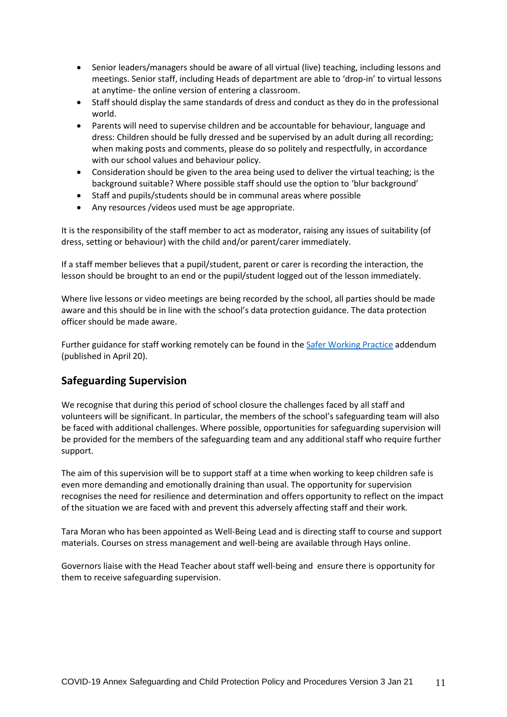- Senior leaders/managers should be aware of all virtual (live) teaching, including lessons and meetings. Senior staff, including Heads of department are able to 'drop-in' to virtual lessons at anytime- the online version of entering a classroom.
- Staff should display the same standards of dress and conduct as they do in the professional world.
- Parents will need to supervise children and be accountable for behaviour, language and dress: Children should be fully dressed and be supervised by an adult during all recording; when making posts and comments, please do so politely and respectfully, in accordance with our school values and behaviour policy.
- Consideration should be given to the area being used to deliver the virtual teaching; is the background suitable? Where possible staff should use the option to 'blur background'
- Staff and pupils/students should be in communal areas where possible
- Any resources /videos used must be age appropriate.

It is the responsibility of the staff member to act as moderator, raising any issues of suitability (of dress, setting or behaviour) with the child and/or parent/carer immediately.

If a staff member believes that a pupil/student, parent or carer is recording the interaction, the lesson should be brought to an end or the pupil/student logged out of the lesson immediately.

Where live lessons or video meetings are being recorded by the school, all parties should be made aware and this should be in line with the school's data protection guidance. The data protection officer should be made aware.

Further guidance for staff working remotely can be found in th[e Safer Working Practice](https://www.saferrecruitmentconsortium.org/GSWP%20COVID%20addendum%20April%202020%20final-1.pdf) addendum (published in April 20).

# **Safeguarding Supervision**

We recognise that during this period of school closure the challenges faced by all staff and volunteers will be significant. In particular, the members of the school's safeguarding team will also be faced with additional challenges. Where possible, opportunities for safeguarding supervision will be provided for the members of the safeguarding team and any additional staff who require further support.

The aim of this supervision will be to support staff at a time when working to keep children safe is even more demanding and emotionally draining than usual. The opportunity for supervision recognises the need for resilience and determination and offers opportunity to reflect on the impact of the situation we are faced with and prevent this adversely affecting staff and their work.

Tara Moran who has been appointed as Well-Being Lead and is directing staff to course and support materials. Courses on stress management and well-being are available through Hays online.

Governors liaise with the Head Teacher about staff well-being and ensure there is opportunity for them to receive safeguarding supervision.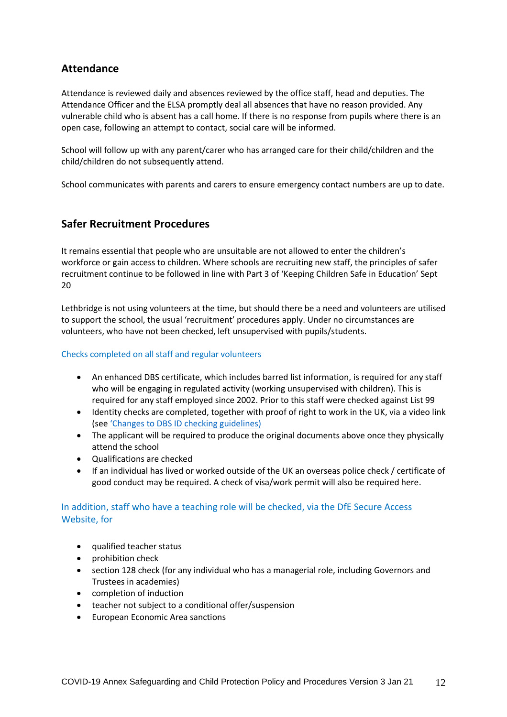# **Attendance**

Attendance is reviewed daily and absences reviewed by the office staff, head and deputies. The Attendance Officer and the ELSA promptly deal all absences that have no reason provided. Any vulnerable child who is absent has a call home. If there is no response from pupils where there is an open case, following an attempt to contact, social care will be informed.

School will follow up with any parent/carer who has arranged care for their child/children and the child/children do not subsequently attend.

School communicates with parents and carers to ensure emergency contact numbers are up to date.

# **Safer Recruitment Procedures**

It remains essential that people who are unsuitable are not allowed to enter the children's workforce or gain access to children. Where schools are recruiting new staff, the principles of safer recruitment continue to be followed in line with Part 3 of 'Keeping Children Safe in Education' Sept 20

Lethbridge is not using volunteers at the time, but should there be a need and volunteers are utilised to support the school, the usual 'recruitment' procedures apply. Under no circumstances are volunteers, who have not been checked, left unsupervised with pupils/students.

#### Checks completed on all staff and regular volunteers

- An enhanced DBS certificate, which includes barred list information, is required for any staff who will be engaging in regulated activity (working unsupervised with children). This is required for any staff employed since 2002. Prior to this staff were checked against List 99
- Identity checks are completed, together with proof of right to work in the UK, via a video link (see ['Changes to DBS ID checking guidelines\)](https://www.gov.uk/government/news/covid-19-changes-to-dbs-id-checking-guidelines)
- The applicant will be required to produce the original documents above once they physically attend the school
- Qualifications are checked
- If an individual has lived or worked outside of the UK an overseas police check / certificate of good conduct may be required. A check of visa/work permit will also be required here.

### In addition, staff who have a teaching role will be checked, via the DfE Secure Access Website, for

- qualified teacher status
- prohibition check
- section 128 check (for any individual who has a managerial role, including Governors and Trustees in academies)
- completion of induction
- teacher not subject to a conditional offer/suspension
- European Economic Area sanctions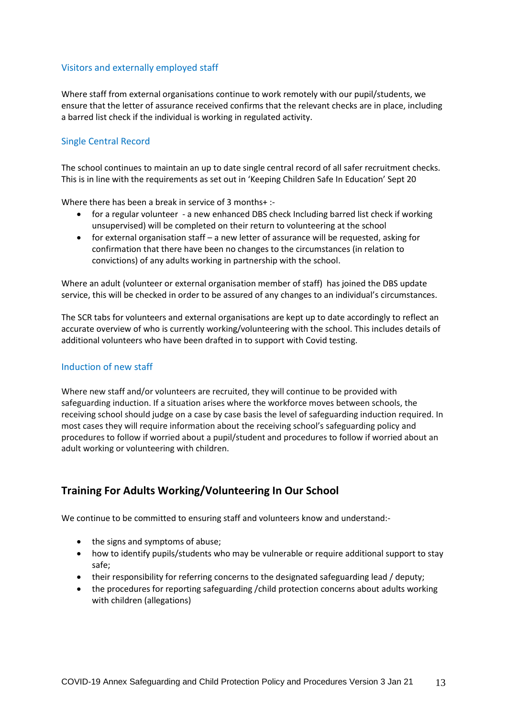#### Visitors and externally employed staff

Where staff from external organisations continue to work remotely with our pupil/students, we ensure that the letter of assurance received confirms that the relevant checks are in place, including a barred list check if the individual is working in regulated activity.

#### Single Central Record

The school continues to maintain an up to date single central record of all safer recruitment checks. This is in line with the requirements as set out in 'Keeping Children Safe In Education' Sept 20

Where there has been a break in service of 3 months+ :-

- for a regular volunteer a new enhanced DBS check Including barred list check if working unsupervised) will be completed on their return to volunteering at the school
- for external organisation staff a new letter of assurance will be requested, asking for confirmation that there have been no changes to the circumstances (in relation to convictions) of any adults working in partnership with the school.

Where an adult (volunteer or external organisation member of staff) has joined the DBS update service, this will be checked in order to be assured of any changes to an individual's circumstances.

The SCR tabs for volunteers and external organisations are kept up to date accordingly to reflect an accurate overview of who is currently working/volunteering with the school. This includes details of additional volunteers who have been drafted in to support with Covid testing.

#### Induction of new staff

Where new staff and/or volunteers are recruited, they will continue to be provided with safeguarding induction. If a situation arises where the workforce moves between schools, the receiving school should judge on a case by case basis the level of safeguarding induction required. In most cases they will require information about the receiving school's safeguarding policy and procedures to follow if worried about a pupil/student and procedures to follow if worried about an adult working or volunteering with children.

# **Training For Adults Working/Volunteering In Our School**

We continue to be committed to ensuring staff and volunteers know and understand:-

- the signs and symptoms of abuse;
- how to identify pupils/students who may be vulnerable or require additional support to stay safe;
- their responsibility for referring concerns to the designated safeguarding lead / deputy;
- the procedures for reporting safeguarding /child protection concerns about adults working with children (allegations)